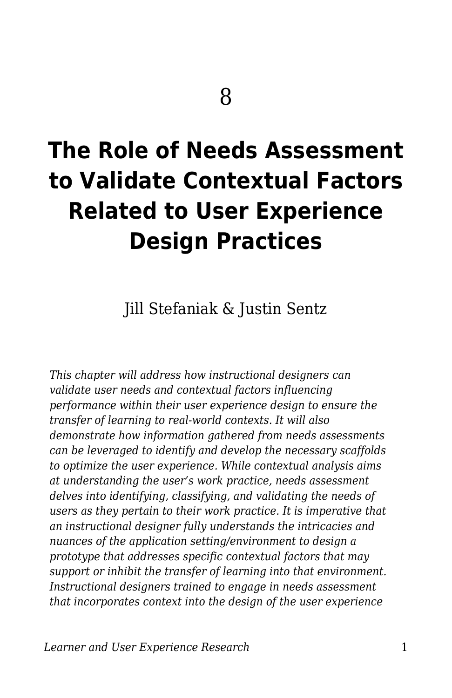# **The Role of Needs Assessment to Validate Contextual Factors Related to User Experience Design Practices**

Jill Stefaniak & Justin Sentz

*This chapter will address how instructional designers can validate user needs and contextual factors influencing performance within their user experience design to ensure the transfer of learning to real-world contexts. It will also demonstrate how information gathered from needs assessments can be leveraged to identify and develop the necessary scaffolds to optimize the user experience. While contextual analysis aims at understanding the user's work practice, needs assessment delves into identifying, classifying, and validating the needs of users as they pertain to their work practice. It is imperative that an instructional designer fully understands the intricacies and nuances of the application setting/environment to design a prototype that addresses specific contextual factors that may support or inhibit the transfer of learning into that environment. Instructional designers trained to engage in needs assessment that incorporates context into the design of the user experience*

*Learner and User Experience Research* 1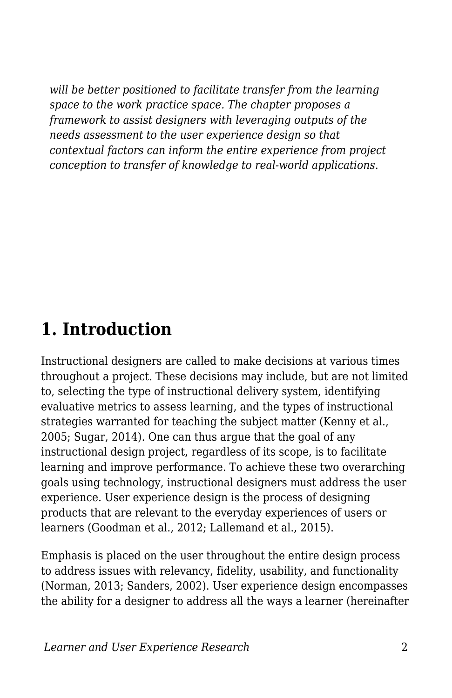*will be better positioned to facilitate transfer from the learning space to the work practice space. The chapter proposes a framework to assist designers with leveraging outputs of the needs assessment to the user experience design so that contextual factors can inform the entire experience from project conception to transfer of knowledge to real-world applications.*

#### **1. Introduction**

Instructional designers are called to make decisions at various times throughout a project. These decisions may include, but are not limited to, selecting the type of instructional delivery system, identifying evaluative metrics to assess learning, and the types of instructional strategies warranted for teaching the subject matter (Kenny et al., 2005; Sugar, 2014). One can thus argue that the goal of any instructional design project, regardless of its scope, is to facilitate learning and improve performance. To achieve these two overarching goals using technology, instructional designers must address the user experience. User experience design is the process of designing products that are relevant to the everyday experiences of users or learners (Goodman et al., 2012; Lallemand et al., 2015).

Emphasis is placed on the user throughout the entire design process to address issues with relevancy, fidelity, usability, and functionality (Norman, 2013; Sanders, 2002). User experience design encompasses the ability for a designer to address all the ways a learner (hereinafter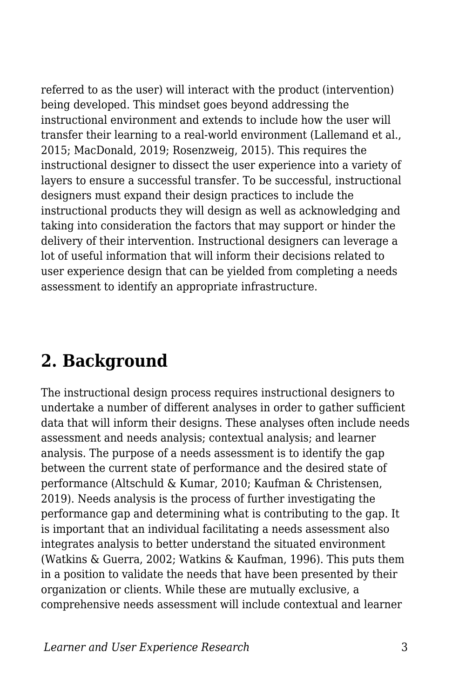referred to as the user) will interact with the product (intervention) being developed. This mindset goes beyond addressing the instructional environment and extends to include how the user will transfer their learning to a real-world environment (Lallemand et al., 2015; MacDonald, 2019; Rosenzweig, 2015). This requires the instructional designer to dissect the user experience into a variety of layers to ensure a successful transfer. To be successful, instructional designers must expand their design practices to include the instructional products they will design as well as acknowledging and taking into consideration the factors that may support or hinder the delivery of their intervention. Instructional designers can leverage a lot of useful information that will inform their decisions related to user experience design that can be yielded from completing a needs assessment to identify an appropriate infrastructure.

#### **2. Background**

The instructional design process requires instructional designers to undertake a number of different analyses in order to gather sufficient data that will inform their designs. These analyses often include needs assessment and needs analysis; contextual analysis; and learner analysis. The purpose of a needs assessment is to identify the gap between the current state of performance and the desired state of performance (Altschuld & Kumar, 2010; Kaufman & Christensen, 2019). Needs analysis is the process of further investigating the performance gap and determining what is contributing to the gap. It is important that an individual facilitating a needs assessment also integrates analysis to better understand the situated environment (Watkins & Guerra, 2002; Watkins & Kaufman, 1996). This puts them in a position to validate the needs that have been presented by their organization or clients. While these are mutually exclusive, a comprehensive needs assessment will include contextual and learner

*Learner and User Experience Research* 3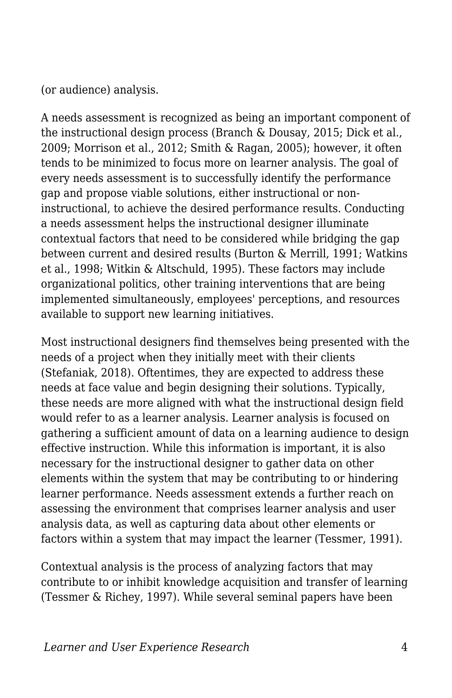(or audience) analysis.

A needs assessment is recognized as being an important component of the instructional design process (Branch & Dousay, 2015; Dick et al., 2009; Morrison et al., 2012; Smith & Ragan, 2005); however, it often tends to be minimized to focus more on learner analysis. The goal of every needs assessment is to successfully identify the performance gap and propose viable solutions, either instructional or noninstructional, to achieve the desired performance results. Conducting a needs assessment helps the instructional designer illuminate contextual factors that need to be considered while bridging the gap between current and desired results (Burton & Merrill, 1991; Watkins et al., 1998; Witkin & Altschuld, 1995). These factors may include organizational politics, other training interventions that are being implemented simultaneously, employees' perceptions, and resources available to support new learning initiatives.

Most instructional designers find themselves being presented with the needs of a project when they initially meet with their clients (Stefaniak, 2018). Oftentimes, they are expected to address these needs at face value and begin designing their solutions. Typically, these needs are more aligned with what the instructional design field would refer to as a learner analysis. Learner analysis is focused on gathering a sufficient amount of data on a learning audience to design effective instruction. While this information is important, it is also necessary for the instructional designer to gather data on other elements within the system that may be contributing to or hindering learner performance. Needs assessment extends a further reach on assessing the environment that comprises learner analysis and user analysis data, as well as capturing data about other elements or factors within a system that may impact the learner (Tessmer, 1991).

Contextual analysis is the process of analyzing factors that may contribute to or inhibit knowledge acquisition and transfer of learning (Tessmer & Richey, 1997). While several seminal papers have been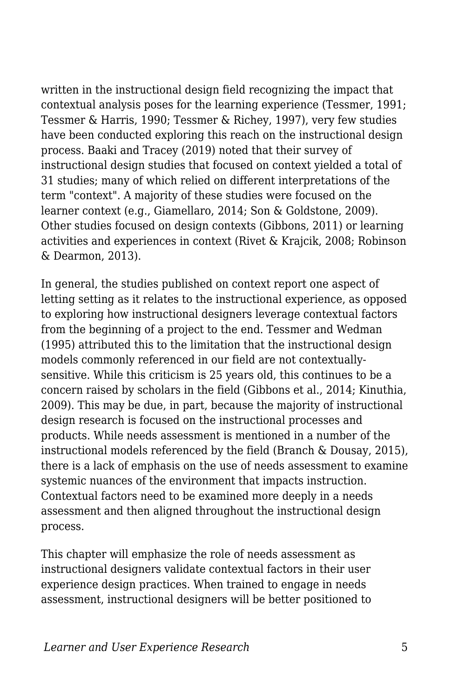written in the instructional design field recognizing the impact that contextual analysis poses for the learning experience (Tessmer, 1991; Tessmer & Harris, 1990; Tessmer & Richey, 1997), very few studies have been conducted exploring this reach on the instructional design process. Baaki and Tracey (2019) noted that their survey of instructional design studies that focused on context yielded a total of 31 studies; many of which relied on different interpretations of the term "context". A majority of these studies were focused on the learner context (e.g., Giamellaro, 2014; Son & Goldstone, 2009). Other studies focused on design contexts (Gibbons, 2011) or learning activities and experiences in context (Rivet & Krajcik, 2008; Robinson & Dearmon, 2013).

In general, the studies published on context report one aspect of letting setting as it relates to the instructional experience, as opposed to exploring how instructional designers leverage contextual factors from the beginning of a project to the end. Tessmer and Wedman (1995) attributed this to the limitation that the instructional design models commonly referenced in our field are not contextuallysensitive. While this criticism is 25 years old, this continues to be a concern raised by scholars in the field (Gibbons et al., 2014; Kinuthia, 2009). This may be due, in part, because the majority of instructional design research is focused on the instructional processes and products. While needs assessment is mentioned in a number of the instructional models referenced by the field (Branch & Dousay, 2015), there is a lack of emphasis on the use of needs assessment to examine systemic nuances of the environment that impacts instruction. Contextual factors need to be examined more deeply in a needs assessment and then aligned throughout the instructional design process.

This chapter will emphasize the role of needs assessment as instructional designers validate contextual factors in their user experience design practices. When trained to engage in needs assessment, instructional designers will be better positioned to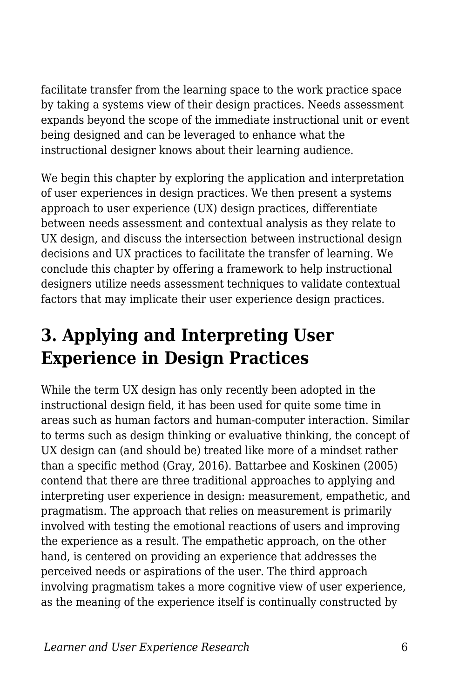facilitate transfer from the learning space to the work practice space by taking a systems view of their design practices. Needs assessment expands beyond the scope of the immediate instructional unit or event being designed and can be leveraged to enhance what the instructional designer knows about their learning audience.

We begin this chapter by exploring the application and interpretation of user experiences in design practices. We then present a systems approach to user experience (UX) design practices, differentiate between needs assessment and contextual analysis as they relate to UX design, and discuss the intersection between instructional design decisions and UX practices to facilitate the transfer of learning. We conclude this chapter by offering a framework to help instructional designers utilize needs assessment techniques to validate contextual factors that may implicate their user experience design practices.

# **3. Applying and Interpreting User Experience in Design Practices**

While the term UX design has only recently been adopted in the instructional design field, it has been used for quite some time in areas such as human factors and human-computer interaction. Similar to terms such as design thinking or evaluative thinking, the concept of UX design can (and should be) treated like more of a mindset rather than a specific method (Gray, 2016). Battarbee and Koskinen (2005) contend that there are three traditional approaches to applying and interpreting user experience in design: measurement, empathetic, and pragmatism. The approach that relies on measurement is primarily involved with testing the emotional reactions of users and improving the experience as a result. The empathetic approach, on the other hand, is centered on providing an experience that addresses the perceived needs or aspirations of the user. The third approach involving pragmatism takes a more cognitive view of user experience, as the meaning of the experience itself is continually constructed by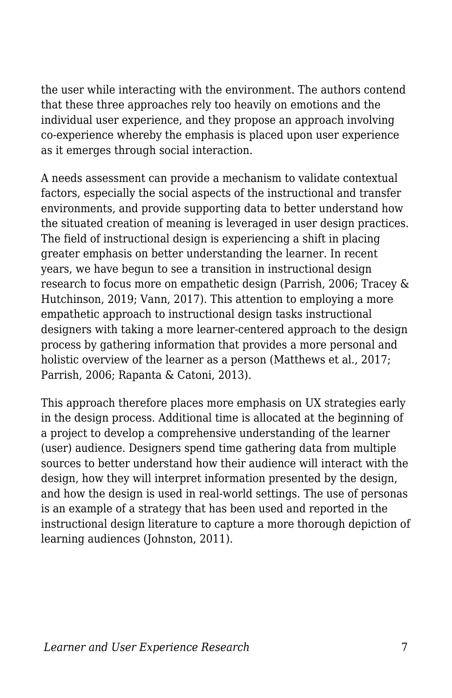the user while interacting with the environment. The authors contend that these three approaches rely too heavily on emotions and the individual user experience, and they propose an approach involving co-experience whereby the emphasis is placed upon user experience as it emerges through social interaction.

A needs assessment can provide a mechanism to validate contextual factors, especially the social aspects of the instructional and transfer environments, and provide supporting data to better understand how the situated creation of meaning is leveraged in user design practices. The field of instructional design is experiencing a shift in placing greater emphasis on better understanding the learner. In recent years, we have begun to see a transition in instructional design research to focus more on empathetic design (Parrish, 2006; Tracey & Hutchinson, 2019; Vann, 2017). This attention to employing a more empathetic approach to instructional design tasks instructional designers with taking a more learner-centered approach to the design process by gathering information that provides a more personal and holistic overview of the learner as a person (Matthews et al., 2017; Parrish, 2006; Rapanta & Catoni, 2013).

This approach therefore places more emphasis on UX strategies early in the design process. Additional time is allocated at the beginning of a project to develop a comprehensive understanding of the learner (user) audience. Designers spend time gathering data from multiple sources to better understand how their audience will interact with the design, how they will interpret information presented by the design, and how the design is used in real-world settings. The use of personas is an example of a strategy that has been used and reported in the instructional design literature to capture a more thorough depiction of learning audiences (Johnston, 2011).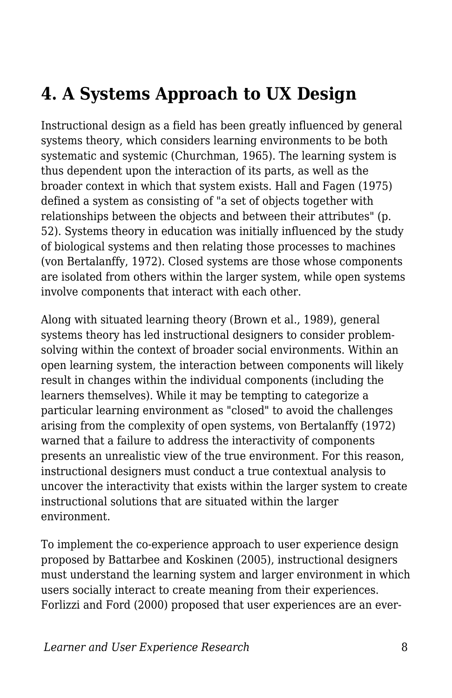# **4. A Systems Approach to UX Design**

Instructional design as a field has been greatly influenced by general systems theory, which considers learning environments to be both systematic and systemic (Churchman, 1965). The learning system is thus dependent upon the interaction of its parts, as well as the broader context in which that system exists. Hall and Fagen (1975) defined a system as consisting of "a set of objects together with relationships between the objects and between their attributes" (p. 52). Systems theory in education was initially influenced by the study of biological systems and then relating those processes to machines (von Bertalanffy, 1972). Closed systems are those whose components are isolated from others within the larger system, while open systems involve components that interact with each other.

Along with situated learning theory (Brown et al., 1989), general systems theory has led instructional designers to consider problemsolving within the context of broader social environments. Within an open learning system, the interaction between components will likely result in changes within the individual components (including the learners themselves). While it may be tempting to categorize a particular learning environment as "closed" to avoid the challenges arising from the complexity of open systems, von Bertalanffy (1972) warned that a failure to address the interactivity of components presents an unrealistic view of the true environment. For this reason, instructional designers must conduct a true contextual analysis to uncover the interactivity that exists within the larger system to create instructional solutions that are situated within the larger environment.

To implement the co-experience approach to user experience design proposed by Battarbee and Koskinen (2005), instructional designers must understand the learning system and larger environment in which users socially interact to create meaning from their experiences. Forlizzi and Ford (2000) proposed that user experiences are an ever-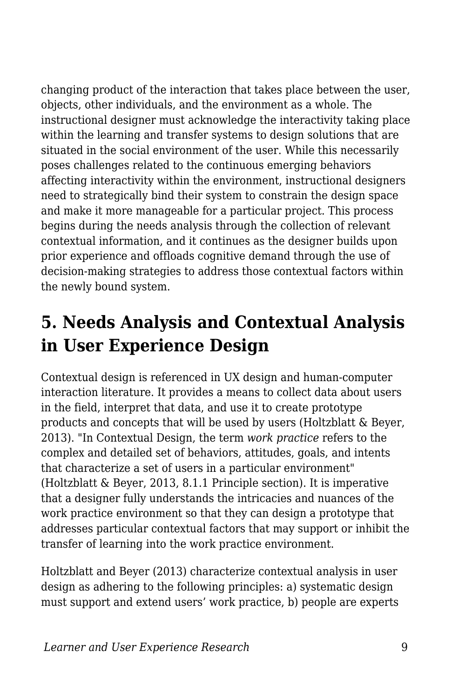changing product of the interaction that takes place between the user, objects, other individuals, and the environment as a whole. The instructional designer must acknowledge the interactivity taking place within the learning and transfer systems to design solutions that are situated in the social environment of the user. While this necessarily poses challenges related to the continuous emerging behaviors affecting interactivity within the environment, instructional designers need to strategically bind their system to constrain the design space and make it more manageable for a particular project. This process begins during the needs analysis through the collection of relevant contextual information, and it continues as the designer builds upon prior experience and offloads cognitive demand through the use of decision-making strategies to address those contextual factors within the newly bound system.

# **5. Needs Analysis and Contextual Analysis in User Experience Design**

Contextual design is referenced in UX design and human-computer interaction literature. It provides a means to collect data about users in the field, interpret that data, and use it to create prototype products and concepts that will be used by users (Holtzblatt & Beyer, 2013). "In Contextual Design, the term *work practice* refers to the complex and detailed set of behaviors, attitudes, goals, and intents that characterize a set of users in a particular environment" (Holtzblatt & Beyer, 2013, 8.1.1 Principle section). It is imperative that a designer fully understands the intricacies and nuances of the work practice environment so that they can design a prototype that addresses particular contextual factors that may support or inhibit the transfer of learning into the work practice environment.

Holtzblatt and Beyer (2013) characterize contextual analysis in user design as adhering to the following principles: a) systematic design must support and extend users' work practice, b) people are experts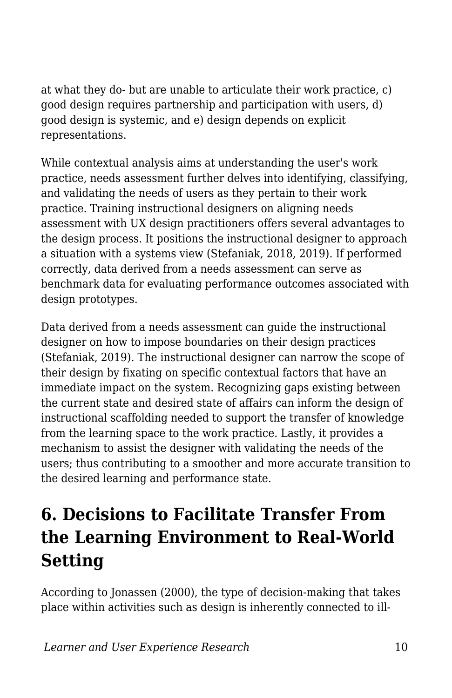at what they do- but are unable to articulate their work practice, c) good design requires partnership and participation with users, d) good design is systemic, and e) design depends on explicit representations.

While contextual analysis aims at understanding the user's work practice, needs assessment further delves into identifying, classifying, and validating the needs of users as they pertain to their work practice. Training instructional designers on aligning needs assessment with UX design practitioners offers several advantages to the design process. It positions the instructional designer to approach a situation with a systems view (Stefaniak, 2018, 2019). If performed correctly, data derived from a needs assessment can serve as benchmark data for evaluating performance outcomes associated with design prototypes.

Data derived from a needs assessment can guide the instructional designer on how to impose boundaries on their design practices (Stefaniak, 2019). The instructional designer can narrow the scope of their design by fixating on specific contextual factors that have an immediate impact on the system. Recognizing gaps existing between the current state and desired state of affairs can inform the design of instructional scaffolding needed to support the transfer of knowledge from the learning space to the work practice. Lastly, it provides a mechanism to assist the designer with validating the needs of the users; thus contributing to a smoother and more accurate transition to the desired learning and performance state.

# **6. Decisions to Facilitate Transfer From the Learning Environment to Real-World Setting**

According to Jonassen (2000), the type of decision-making that takes place within activities such as design is inherently connected to ill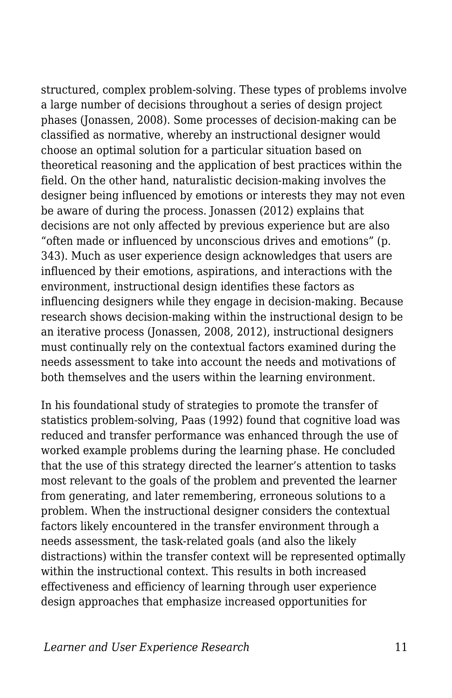structured, complex problem-solving. These types of problems involve a large number of decisions throughout a series of design project phases (Jonassen, 2008). Some processes of decision-making can be classified as normative, whereby an instructional designer would choose an optimal solution for a particular situation based on theoretical reasoning and the application of best practices within the field. On the other hand, naturalistic decision-making involves the designer being influenced by emotions or interests they may not even be aware of during the process. Jonassen (2012) explains that decisions are not only affected by previous experience but are also "often made or influenced by unconscious drives and emotions" (p. 343). Much as user experience design acknowledges that users are influenced by their emotions, aspirations, and interactions with the environment, instructional design identifies these factors as influencing designers while they engage in decision-making. Because research shows decision-making within the instructional design to be an iterative process (Jonassen, 2008, 2012), instructional designers must continually rely on the contextual factors examined during the needs assessment to take into account the needs and motivations of both themselves and the users within the learning environment.

In his foundational study of strategies to promote the transfer of statistics problem-solving, Paas (1992) found that cognitive load was reduced and transfer performance was enhanced through the use of worked example problems during the learning phase. He concluded that the use of this strategy directed the learner's attention to tasks most relevant to the goals of the problem and prevented the learner from generating, and later remembering, erroneous solutions to a problem. When the instructional designer considers the contextual factors likely encountered in the transfer environment through a needs assessment, the task-related goals (and also the likely distractions) within the transfer context will be represented optimally within the instructional context. This results in both increased effectiveness and efficiency of learning through user experience design approaches that emphasize increased opportunities for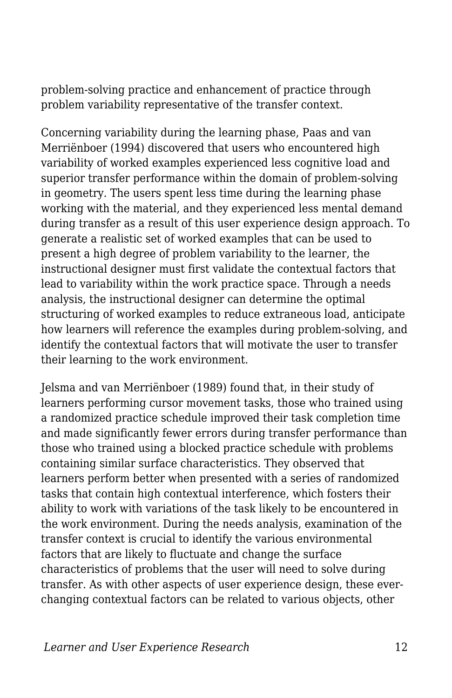problem-solving practice and enhancement of practice through problem variability representative of the transfer context.

Concerning variability during the learning phase, Paas and van Merriënboer (1994) discovered that users who encountered high variability of worked examples experienced less cognitive load and superior transfer performance within the domain of problem-solving in geometry. The users spent less time during the learning phase working with the material, and they experienced less mental demand during transfer as a result of this user experience design approach. To generate a realistic set of worked examples that can be used to present a high degree of problem variability to the learner, the instructional designer must first validate the contextual factors that lead to variability within the work practice space. Through a needs analysis, the instructional designer can determine the optimal structuring of worked examples to reduce extraneous load, anticipate how learners will reference the examples during problem-solving, and identify the contextual factors that will motivate the user to transfer their learning to the work environment.

Jelsma and van Merriënboer (1989) found that, in their study of learners performing cursor movement tasks, those who trained using a randomized practice schedule improved their task completion time and made significantly fewer errors during transfer performance than those who trained using a blocked practice schedule with problems containing similar surface characteristics. They observed that learners perform better when presented with a series of randomized tasks that contain high contextual interference, which fosters their ability to work with variations of the task likely to be encountered in the work environment. During the needs analysis, examination of the transfer context is crucial to identify the various environmental factors that are likely to fluctuate and change the surface characteristics of problems that the user will need to solve during transfer. As with other aspects of user experience design, these everchanging contextual factors can be related to various objects, other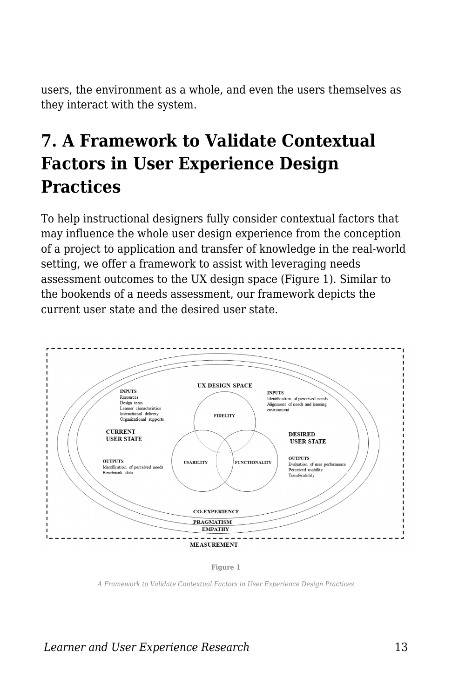users, the environment as a whole, and even the users themselves as they interact with the system.

# **7. A Framework to Validate Contextual Factors in User Experience Design Practices**

To help instructional designers fully consider contextual factors that may influence the whole user design experience from the conception of a project to application and transfer of knowledge in the real-world setting, we offer a framework to assist with leveraging needs assessment outcomes to the UX design space (Figure 1). Similar to the bookends of a needs assessment, our framework depicts the current user state and the desired user state.



**Figure 1**

*A Framework to Validate Contextual Factors in User Experience Design Practices*

*Learner and User Experience Research* 13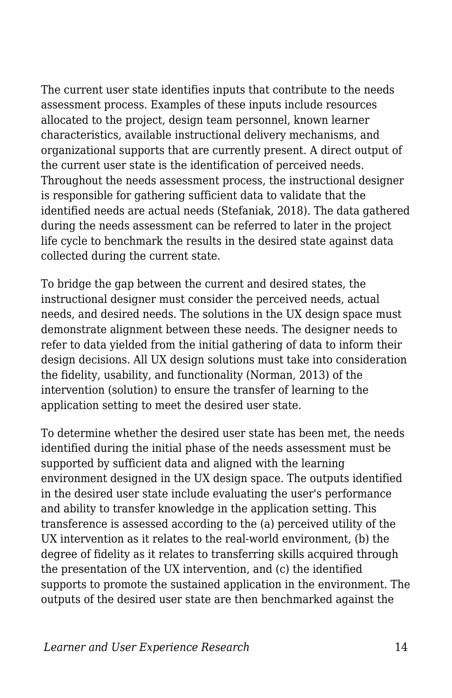The current user state identifies inputs that contribute to the needs assessment process. Examples of these inputs include resources allocated to the project, design team personnel, known learner characteristics, available instructional delivery mechanisms, and organizational supports that are currently present. A direct output of the current user state is the identification of perceived needs. Throughout the needs assessment process, the instructional designer is responsible for gathering sufficient data to validate that the identified needs are actual needs (Stefaniak, 2018). The data gathered during the needs assessment can be referred to later in the project life cycle to benchmark the results in the desired state against data collected during the current state.

To bridge the gap between the current and desired states, the instructional designer must consider the perceived needs, actual needs, and desired needs. The solutions in the UX design space must demonstrate alignment between these needs. The designer needs to refer to data yielded from the initial gathering of data to inform their design decisions. All UX design solutions must take into consideration the fidelity, usability, and functionality (Norman, 2013) of the intervention (solution) to ensure the transfer of learning to the application setting to meet the desired user state.

To determine whether the desired user state has been met, the needs identified during the initial phase of the needs assessment must be supported by sufficient data and aligned with the learning environment designed in the UX design space. The outputs identified in the desired user state include evaluating the user's performance and ability to transfer knowledge in the application setting. This transference is assessed according to the (a) perceived utility of the UX intervention as it relates to the real-world environment, (b) the degree of fidelity as it relates to transferring skills acquired through the presentation of the UX intervention, and (c) the identified supports to promote the sustained application in the environment. The outputs of the desired user state are then benchmarked against the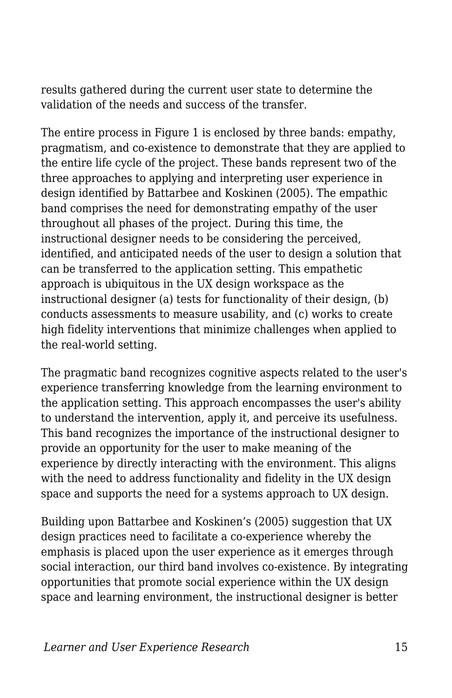results gathered during the current user state to determine the validation of the needs and success of the transfer.

The entire process in Figure 1 is enclosed by three bands: empathy, pragmatism, and co-existence to demonstrate that they are applied to the entire life cycle of the project. These bands represent two of the three approaches to applying and interpreting user experience in design identified by Battarbee and Koskinen (2005). The empathic band comprises the need for demonstrating empathy of the user throughout all phases of the project. During this time, the instructional designer needs to be considering the perceived, identified, and anticipated needs of the user to design a solution that can be transferred to the application setting. This empathetic approach is ubiquitous in the UX design workspace as the instructional designer (a) tests for functionality of their design, (b) conducts assessments to measure usability, and (c) works to create high fidelity interventions that minimize challenges when applied to the real-world setting.

The pragmatic band recognizes cognitive aspects related to the user's experience transferring knowledge from the learning environment to the application setting. This approach encompasses the user's ability to understand the intervention, apply it, and perceive its usefulness. This band recognizes the importance of the instructional designer to provide an opportunity for the user to make meaning of the experience by directly interacting with the environment. This aligns with the need to address functionality and fidelity in the UX design space and supports the need for a systems approach to UX design.

Building upon Battarbee and Koskinen's (2005) suggestion that UX design practices need to facilitate a co-experience whereby the emphasis is placed upon the user experience as it emerges through social interaction, our third band involves co-existence. By integrating opportunities that promote social experience within the UX design space and learning environment, the instructional designer is better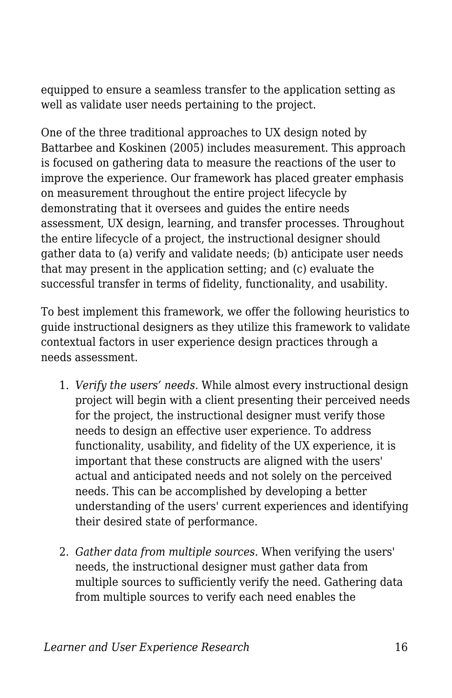equipped to ensure a seamless transfer to the application setting as well as validate user needs pertaining to the project.

One of the three traditional approaches to UX design noted by Battarbee and Koskinen (2005) includes measurement. This approach is focused on gathering data to measure the reactions of the user to improve the experience. Our framework has placed greater emphasis on measurement throughout the entire project lifecycle by demonstrating that it oversees and guides the entire needs assessment, UX design, learning, and transfer processes. Throughout the entire lifecycle of a project, the instructional designer should gather data to (a) verify and validate needs; (b) anticipate user needs that may present in the application setting; and (c) evaluate the successful transfer in terms of fidelity, functionality, and usability.

To best implement this framework, we offer the following heuristics to guide instructional designers as they utilize this framework to validate contextual factors in user experience design practices through a needs assessment.

- 1. *Verify the users' needs*. While almost every instructional design project will begin with a client presenting their perceived needs for the project, the instructional designer must verify those needs to design an effective user experience. To address functionality, usability, and fidelity of the UX experience, it is important that these constructs are aligned with the users' actual and anticipated needs and not solely on the perceived needs. This can be accomplished by developing a better understanding of the users' current experiences and identifying their desired state of performance.
- 2. *Gather data from multiple sources*. When verifying the users' needs, the instructional designer must gather data from multiple sources to sufficiently verify the need. Gathering data from multiple sources to verify each need enables the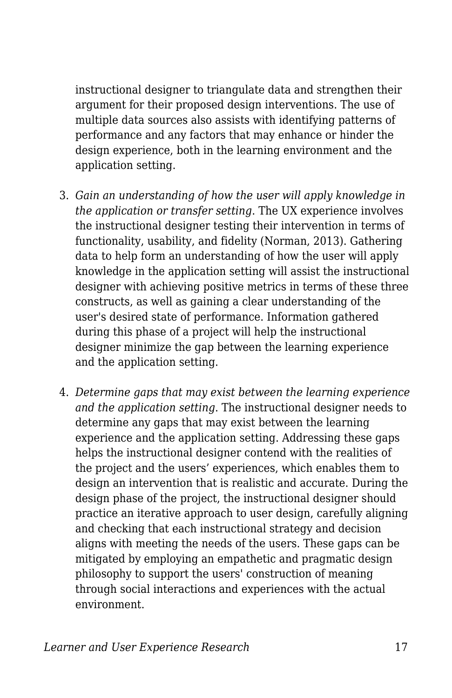instructional designer to triangulate data and strengthen their argument for their proposed design interventions. The use of multiple data sources also assists with identifying patterns of performance and any factors that may enhance or hinder the design experience, both in the learning environment and the application setting.

- 3. *Gain an understanding of how the user will apply knowledge in the application or transfer setting*. The UX experience involves the instructional designer testing their intervention in terms of functionality, usability, and fidelity (Norman, 2013). Gathering data to help form an understanding of how the user will apply knowledge in the application setting will assist the instructional designer with achieving positive metrics in terms of these three constructs, as well as gaining a clear understanding of the user's desired state of performance. Information gathered during this phase of a project will help the instructional designer minimize the gap between the learning experience and the application setting.
- 4. *Determine gaps that may exist between the learning experience and the application setting*. The instructional designer needs to determine any gaps that may exist between the learning experience and the application setting. Addressing these gaps helps the instructional designer contend with the realities of the project and the users' experiences, which enables them to design an intervention that is realistic and accurate. During the design phase of the project, the instructional designer should practice an iterative approach to user design, carefully aligning and checking that each instructional strategy and decision aligns with meeting the needs of the users. These gaps can be mitigated by employing an empathetic and pragmatic design philosophy to support the users' construction of meaning through social interactions and experiences with the actual environment.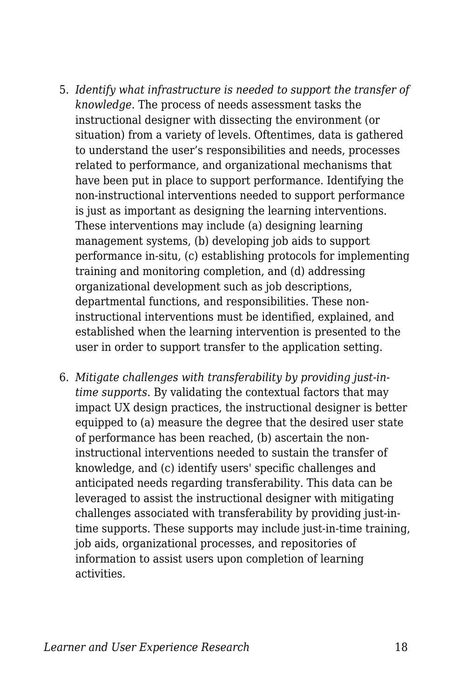- 5. *Identify what infrastructure is needed to support the transfer of knowledge*. The process of needs assessment tasks the instructional designer with dissecting the environment (or situation) from a variety of levels. Oftentimes, data is gathered to understand the user's responsibilities and needs, processes related to performance, and organizational mechanisms that have been put in place to support performance. Identifying the non-instructional interventions needed to support performance is just as important as designing the learning interventions. These interventions may include (a) designing learning management systems, (b) developing job aids to support performance in-situ, (c) establishing protocols for implementing training and monitoring completion, and (d) addressing organizational development such as job descriptions, departmental functions, and responsibilities. These noninstructional interventions must be identified, explained, and established when the learning intervention is presented to the user in order to support transfer to the application setting.
- 6. *Mitigate challenges with transferability by providing just-intime supports*. By validating the contextual factors that may impact UX design practices, the instructional designer is better equipped to (a) measure the degree that the desired user state of performance has been reached, (b) ascertain the noninstructional interventions needed to sustain the transfer of knowledge, and (c) identify users' specific challenges and anticipated needs regarding transferability. This data can be leveraged to assist the instructional designer with mitigating challenges associated with transferability by providing just-intime supports. These supports may include just-in-time training, job aids, organizational processes, and repositories of information to assist users upon completion of learning activities.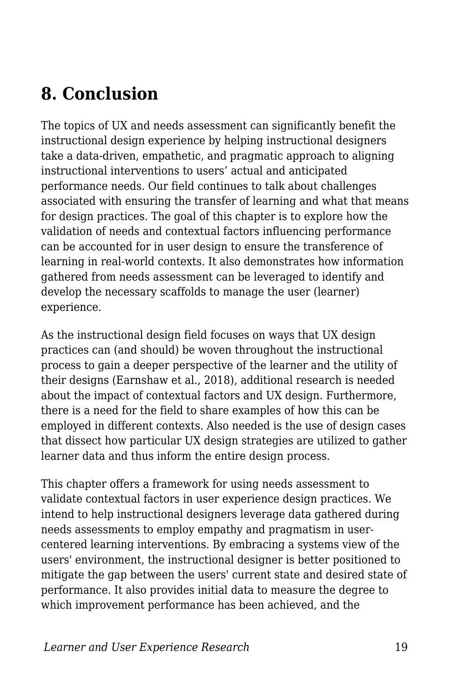# **8. Conclusion**

The topics of UX and needs assessment can significantly benefit the instructional design experience by helping instructional designers take a data-driven, empathetic, and pragmatic approach to aligning instructional interventions to users' actual and anticipated performance needs. Our field continues to talk about challenges associated with ensuring the transfer of learning and what that means for design practices. The goal of this chapter is to explore how the validation of needs and contextual factors influencing performance can be accounted for in user design to ensure the transference of learning in real-world contexts. It also demonstrates how information gathered from needs assessment can be leveraged to identify and develop the necessary scaffolds to manage the user (learner) experience.

As the instructional design field focuses on ways that UX design practices can (and should) be woven throughout the instructional process to gain a deeper perspective of the learner and the utility of their designs (Earnshaw et al., 2018), additional research is needed about the impact of contextual factors and UX design. Furthermore, there is a need for the field to share examples of how this can be employed in different contexts. Also needed is the use of design cases that dissect how particular UX design strategies are utilized to gather learner data and thus inform the entire design process.

This chapter offers a framework for using needs assessment to validate contextual factors in user experience design practices. We intend to help instructional designers leverage data gathered during needs assessments to employ empathy and pragmatism in usercentered learning interventions. By embracing a systems view of the users' environment, the instructional designer is better positioned to mitigate the gap between the users' current state and desired state of performance. It also provides initial data to measure the degree to which improvement performance has been achieved, and the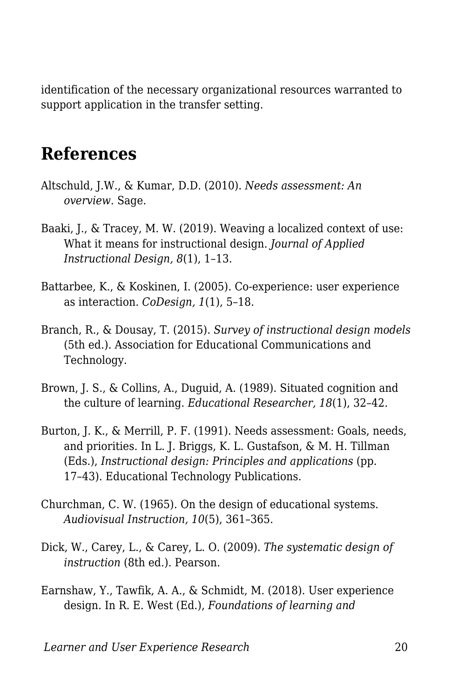identification of the necessary organizational resources warranted to support application in the transfer setting.

#### **References**

- Altschuld, J.W., & Kumar, D.D. (2010). *Needs assessment: An overview*. Sage.
- Baaki, J., & Tracey, M. W. (2019). Weaving a localized context of use: What it means for instructional design. *Journal of Applied Instructional Design, 8*(1), 1–13.
- Battarbee, K., & Koskinen, I. (2005). Co-experience: user experience as interaction. *CoDesign, 1*(1), 5–18.
- Branch, R., & Dousay, T. (2015). *Survey of instructional design models* (5th ed.). Association for Educational Communications and Technology.
- Brown, J. S., & Collins, A., Duguid, A. (1989). Situated cognition and the culture of learning. *Educational Researcher, 18*(1), 32–42.
- Burton, J. K., & Merrill, P. F. (1991). Needs assessment: Goals, needs, and priorities. In L. J. Briggs, K. L. Gustafson, & M. H. Tillman (Eds.), *Instructional design: Principles and applications* (pp. 17–43). Educational Technology Publications.
- Churchman, C. W. (1965). On the design of educational systems. *Audiovisual Instruction, 10*(5), 361–365.
- Dick, W., Carey, L., & Carey, L. O. (2009). *The systematic design of instruction* (8th ed.). Pearson.
- Earnshaw, Y., Tawfik, A. A., & Schmidt, M. (2018). User experience design. In R. E. West (Ed.), *Foundations of learning and*

*Learner and User Experience Research* 20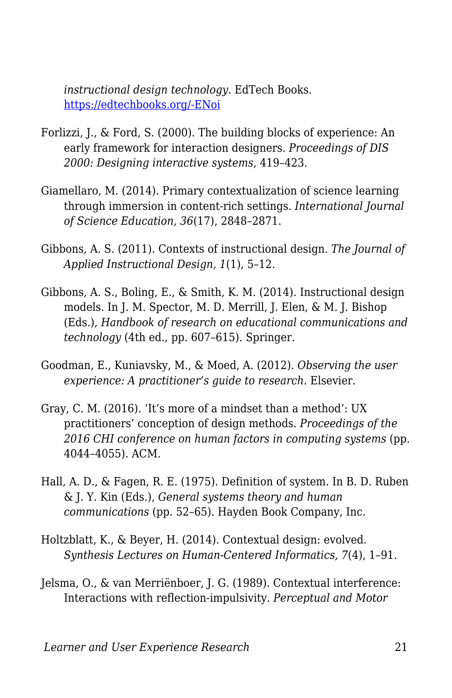*instructional design technology*. EdTech Books. [https://edtechbooks.org/-ENoi](https://edtechbooks.org/lidtfoundations/user_experience_design)

- Forlizzi, J., & Ford, S. (2000). The building blocks of experience: An early framework for interaction designers. *Proceedings of DIS 2000: Designing interactive systems*, 419–423.
- Giamellaro, M. (2014). Primary contextualization of science learning through immersion in content-rich settings. *International Journal of Science Education, 36*(17), 2848–2871.
- Gibbons, A. S. (2011). Contexts of instructional design. *The Journal of Applied Instructional Design, 1*(1), 5–12.
- Gibbons, A. S., Boling, E., & Smith, K. M. (2014). Instructional design models. In J. M. Spector, M. D. Merrill, J. Elen, & M. J. Bishop (Eds.), *Handbook of research on educational communications and technology* (4th ed., pp. 607–615). Springer.
- Goodman, E., Kuniavsky, M., & Moed, A. (2012). *Observing the user experience: A practitioner's guide to research*. Elsevier.
- Gray, C. M. (2016). 'It's more of a mindset than a method': UX practitioners' conception of design methods. *Proceedings of the 2016 CHI conference on human factors in computing systems* (pp. 4044–4055). ACM.
- Hall, A. D., & Fagen, R. E. (1975). Definition of system. In B. D. Ruben & J. Y. Kin (Eds.), *General systems theory and human communications* (pp. 52–65). Hayden Book Company, Inc.
- Holtzblatt, K., & Beyer, H. (2014). Contextual design: evolved. *Synthesis Lectures on Human-Centered Informatics, 7*(4), 1–91.
- Jelsma, O., & van Merriënboer, J. G. (1989). Contextual interference: Interactions with reflection-impulsivity. *Perceptual and Motor*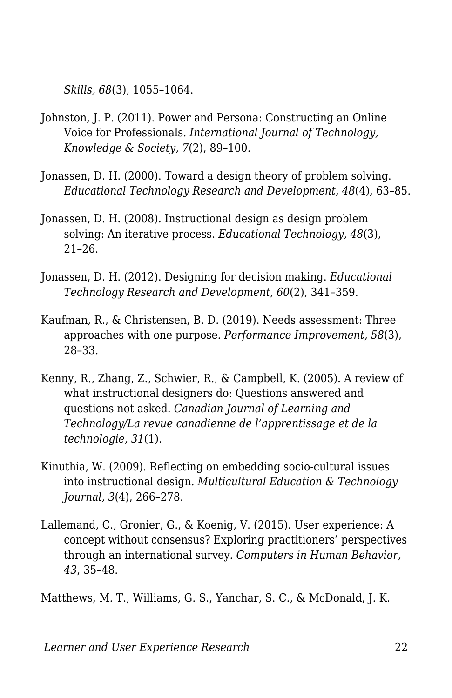*Skills, 68*(3), 1055–1064.

- Johnston, J. P. (2011). Power and Persona: Constructing an Online Voice for Professionals. *International Journal of Technology, Knowledge & Society, 7*(2), 89–100.
- Jonassen, D. H. (2000). Toward a design theory of problem solving. *Educational Technology Research and Development, 48*(4), 63–85.
- Jonassen, D. H. (2008). Instructional design as design problem solving: An iterative process. *Educational Technology, 48*(3), 21–26.
- Jonassen, D. H. (2012). Designing for decision making. *Educational Technology Research and Development, 60*(2), 341–359.
- Kaufman, R., & Christensen, B. D. (2019). Needs assessment: Three approaches with one purpose. *Performance Improvement, 58*(3), 28–33.
- Kenny, R., Zhang, Z., Schwier, R., & Campbell, K. (2005). A review of what instructional designers do: Questions answered and questions not asked. *Canadian Journal of Learning and Technology/La revue canadienne de l'apprentissage et de la technologie, 31*(1).
- Kinuthia, W. (2009). Reflecting on embedding socio-cultural issues into instructional design. *Multicultural Education & Technology Journal, 3*(4), 266–278.
- Lallemand, C., Gronier, G., & Koenig, V. (2015). User experience: A concept without consensus? Exploring practitioners' perspectives through an international survey. *Computers in Human Behavior, 43*, 35–48.

Matthews, M. T., Williams, G. S., Yanchar, S. C., & McDonald, J. K.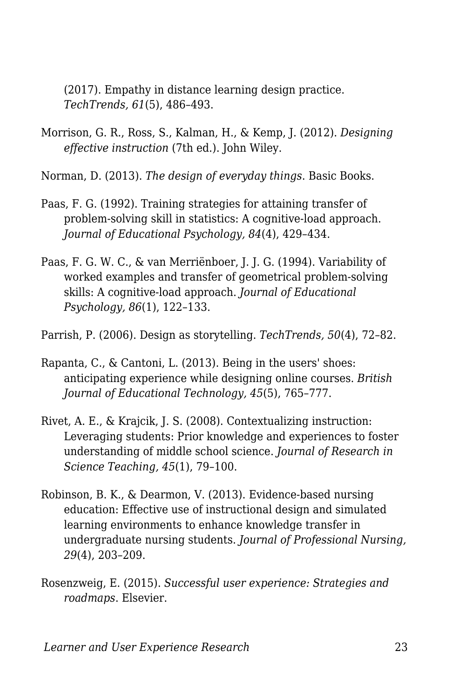(2017). Empathy in distance learning design practice. *TechTrends, 61*(5), 486–493.

Morrison, G. R., Ross, S., Kalman, H., & Kemp, J. (2012). *Designing effective instruction* (7th ed.). John Wiley.

Norman, D. (2013). *The design of everyday things*. Basic Books.

- Paas, F. G. (1992). Training strategies for attaining transfer of problem-solving skill in statistics: A cognitive-load approach. *Journal of Educational Psychology, 84*(4), 429–434.
- Paas, F. G. W. C., & van Merriënboer, J. J. G. (1994). Variability of worked examples and transfer of geometrical problem-solving skills: A cognitive-load approach. *Journal of Educational Psychology, 86*(1), 122–133.

Parrish, P. (2006). Design as storytelling. *TechTrends, 50*(4), 72–82.

- Rapanta, C., & Cantoni, L. (2013). Being in the users' shoes: anticipating experience while designing online courses. *British Journal of Educational Technology, 45*(5), 765–777.
- Rivet, A. E., & Krajcik, J. S. (2008). Contextualizing instruction: Leveraging students: Prior knowledge and experiences to foster understanding of middle school science. *Journal of Research in Science Teaching, 45*(1), 79–100.
- Robinson, B. K., & Dearmon, V. (2013). Evidence-based nursing education: Effective use of instructional design and simulated learning environments to enhance knowledge transfer in undergraduate nursing students. *Journal of Professional Nursing, 29*(4), 203–209.
- Rosenzweig, E. (2015). *Successful user experience: Strategies and roadmaps*. Elsevier.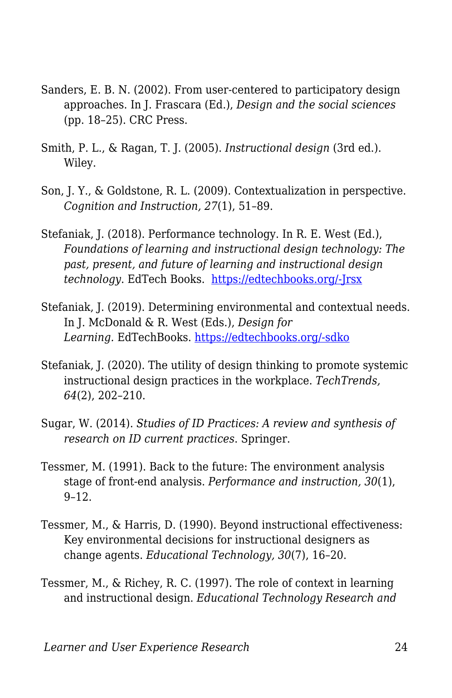- Sanders, E. B. N. (2002). From user-centered to participatory design approaches. In J. Frascara (Ed.), *Design and the social sciences* (pp. 18–25). CRC Press.
- Smith, P. L., & Ragan, T. J. (2005). *Instructional design* (3rd ed.). Wiley.
- Son, J. Y., & Goldstone, R. L. (2009). Contextualization in perspective. *Cognition and Instruction, 27*(1), 51–89.
- Stefaniak, J. (2018). Performance technology. In R. E. West (Ed.), *Foundations of learning and instructional design technology: The past, present, and future of learning and instructional design technology*. EdTech Books. [https://edtechbooks.org/-Jrsx](http://edtechbooks.org/lidtfoundations/performance_technology)
- Stefaniak, J. (2019). Determining environmental and contextual needs. In J. McDonald & R. West (Eds.), *Design for Learning.* EdTechBooks. [https://edtechbooks.org/-sdko](https://edtechbooks.org/id/needs_analysis)
- Stefaniak, J. (2020). The utility of design thinking to promote systemic instructional design practices in the workplace. *TechTrends, 64*(2), 202–210.
- Sugar, W. (2014). *Studies of ID Practices: A review and synthesis of research on ID current practices*. Springer.
- Tessmer, M. (1991). Back to the future: The environment analysis stage of front-end analysis. *Performance and instruction, 30*(1), 9–12.
- Tessmer, M., & Harris, D. (1990). Beyond instructional effectiveness: Key environmental decisions for instructional designers as change agents. *Educational Technology, 30*(7), 16–20.
- Tessmer, M., & Richey, R. C. (1997). The role of context in learning and instructional design. *Educational Technology Research and*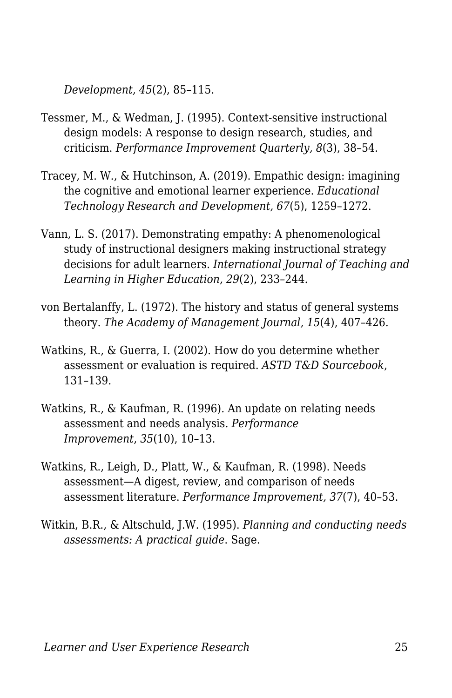*Development, 45*(2), 85–115.

- Tessmer, M., & Wedman, J. (1995). Context‐sensitive instructional design models: A response to design research, studies, and criticism. *Performance Improvement Quarterly, 8*(3), 38–54.
- Tracey, M. W., & Hutchinson, A. (2019). Empathic design: imagining the cognitive and emotional learner experience. *Educational Technology Research and Development, 67*(5), 1259–1272.
- Vann, L. S. (2017). Demonstrating empathy: A phenomenological study of instructional designers making instructional strategy decisions for adult learners. *International Journal of Teaching and Learning in Higher Education, 29*(2), 233–244.
- von Bertalanffy, L. (1972). The history and status of general systems theory. *The Academy of Management Journal, 15*(4), 407–426.
- Watkins, R., & Guerra, I. (2002). How do you determine whether assessment or evaluation is required. *ASTD T&D Sourcebook*, 131–139.
- Watkins, R., & Kaufman, R. (1996). An update on relating needs assessment and needs analysis. *Performance Improvement*, *35*(10), 10–13.
- Watkins, R., Leigh, D., Platt, W., & Kaufman, R. (1998). Needs assessment—A digest, review, and comparison of needs assessment literature. *Performance Improvement, 37*(7), 40–53.
- Witkin, B.R., & Altschuld, J.W. (1995). *Planning and conducting needs assessments: A practical guide*. Sage.